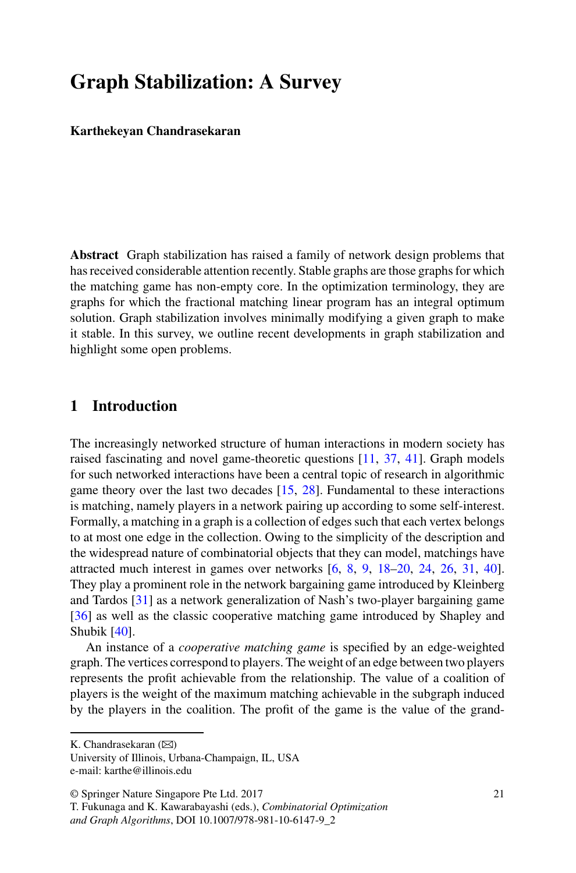# **Graph Stabilization: A Survey**

**Karthekeyan Chandrasekaran**

**Abstract** Graph stabilization has raised a family of network design problems that has received considerable attention recently. Stable graphs are those graphs for which the matching game has non-empty core. In the optimization terminology, they are graphs for which the fractional matching linear program has an integral optimum solution. Graph stabilization involves minimally modifying a given graph to make it stable. In this survey, we outline recent developments in graph stabilization and highlight some open problems.

## **1 Introduction**

The increasingly networked structure of human interactions in modern society has raised fascinating and novel game-theoretic questions [\[11,](#page-19-0) [37](#page-20-0), [41](#page-20-1)]. Graph models for such networked interactions have been a central topic of research in algorithmic game theory over the last two decades [\[15,](#page-19-1) [28\]](#page-19-2). Fundamental to these interactions is matching, namely players in a network pairing up according to some self-interest. Formally, a matching in a graph is a collection of edges such that each vertex belongs to at most one edge in the collection. Owing to the simplicity of the description and the widespread nature of combinatorial objects that they can model, matchings have attracted much interest in games over networks [\[6](#page-18-0), [8,](#page-19-3) [9](#page-19-4), [18](#page-19-5)[–20](#page-19-6), [24,](#page-19-7) [26](#page-19-8), [31,](#page-19-9) [40](#page-20-2)]. They play a prominent role in the network bargaining game introduced by Kleinberg and Tardos [\[31\]](#page-19-9) as a network generalization of Nash's two-player bargaining game [\[36\]](#page-19-10) as well as the classic cooperative matching game introduced by Shapley and Shubik [\[40\]](#page-20-2).

An instance of a *cooperative matching game* is specified by an edge-weighted graph. The vertices correspond to players. The weight of an edge between two players represents the profit achievable from the relationship. The value of a coalition of players is the weight of the maximum matching achievable in the subgraph induced by the players in the coalition. The profit of the game is the value of the grand-

University of Illinois, Urbana-Champaign, IL, USA e-mail: karthe@illinois.edu

K. Chandrasekaran  $(\boxtimes)$ 

<sup>©</sup> Springer Nature Singapore Pte Ltd. 2017

T. Fukunaga and K. Kawarabayashi (eds.), *Combinatorial Optimization and Graph Algorithms*, DOI 10.1007/978-981-10-6147-9\_2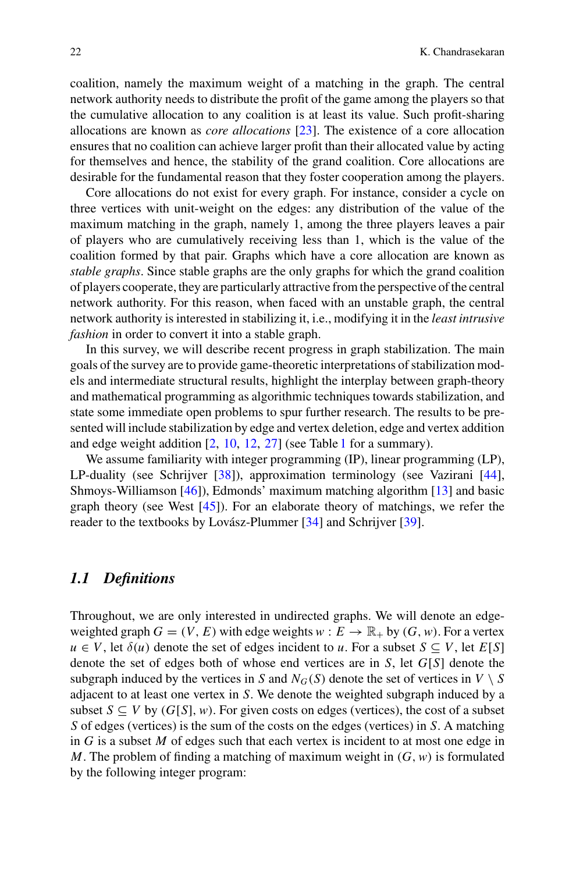coalition, namely the maximum weight of a matching in the graph. The central network authority needs to distribute the profit of the game among the players so that the cumulative allocation to any coalition is at least its value. Such profit-sharing allocations are known as *core allocations* [\[23](#page-19-11)]. The existence of a core allocation ensures that no coalition can achieve larger profit than their allocated value by acting for themselves and hence, the stability of the grand coalition. Core allocations are desirable for the fundamental reason that they foster cooperation among the players.

Core allocations do not exist for every graph. For instance, consider a cycle on three vertices with unit-weight on the edges: any distribution of the value of the maximum matching in the graph, namely 1, among the three players leaves a pair of players who are cumulatively receiving less than 1, which is the value of the coalition formed by that pair. Graphs which have a core allocation are known as *stable graphs*. Since stable graphs are the only graphs for which the grand coalition of players cooperate, they are particularly attractive from the perspective of the central network authority. For this reason, when faced with an unstable graph, the central network authority is interested in stabilizing it, i.e., modifying it in the *least intrusive fashion* in order to convert it into a stable graph.

In this survey, we will describe recent progress in graph stabilization. The main goals of the survey are to provide game-theoretic interpretations of stabilization models and intermediate structural results, highlight the interplay between graph-theory and mathematical programming as algorithmic techniques towards stabilization, and state some immediate open problems to spur further research. The results to be presented will include stabilization by edge and vertex deletion, edge and vertex addition and edge weight addition [\[2,](#page-18-1) [10,](#page-19-12) [12](#page-19-13), [27\]](#page-19-14) (see Table [1](#page-2-0) for a summary).

We assume familiarity with integer programming (IP), linear programming (LP), LP-duality (see Schrijver [\[38\]](#page-20-3)), approximation terminology (see Vazirani [\[44](#page-20-4)], Shmoys-Williamson [\[46\]](#page-20-5)), Edmonds' maximum matching algorithm [\[13](#page-19-15)] and basic graph theory (see West [\[45\]](#page-20-6)). For an elaborate theory of matchings, we refer the reader to the textbooks by Lovász-Plummer [\[34](#page-19-16)] and Schrijver [\[39](#page-20-7)].

#### *1.1 Definitions*

Throughout, we are only interested in undirected graphs. We will denote an edgeweighted graph  $G = (V, E)$  with edge weights  $w : E \to \mathbb{R}_+$  by  $(G, w)$ . For a vertex  $u \in V$ , let  $\delta(u)$  denote the set of edges incident to *u*. For a subset  $S \subseteq V$ , let  $E[S]$ denote the set of edges both of whose end vertices are in *S*, let *G*[*S*] denote the subgraph induced by the vertices in *S* and  $N_G(S)$  denote the set of vertices in  $V \setminus S$ adjacent to at least one vertex in *S*. We denote the weighted subgraph induced by a subset  $S \subseteq V$  by  $(G[S], w)$ . For given costs on edges (vertices), the cost of a subset *S* of edges (vertices) is the sum of the costs on the edges (vertices) in *S*. A matching in *G* is a subset *M* of edges such that each vertex is incident to at most one edge in *M*. The problem of finding a matching of maximum weight in (*G*,*w*) is formulated by the following integer program: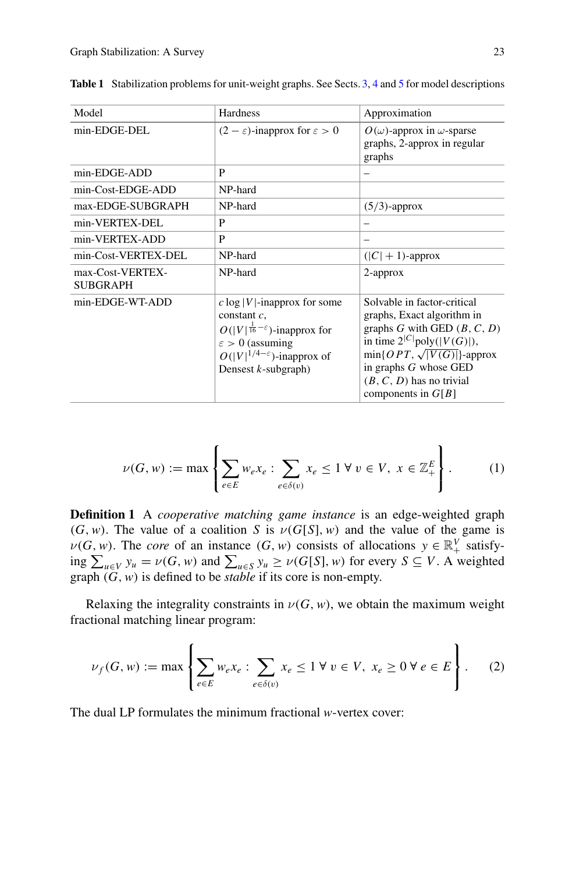| Model                               | Hardness                                                                                                                                                                                             | Approximation                                                                                                                                                                                                                                           |
|-------------------------------------|------------------------------------------------------------------------------------------------------------------------------------------------------------------------------------------------------|---------------------------------------------------------------------------------------------------------------------------------------------------------------------------------------------------------------------------------------------------------|
| min-EDGE-DEL                        | $(2 - \varepsilon)$ -inapprox for $\varepsilon > 0$                                                                                                                                                  | $O(\omega)$ -approx in $\omega$ -sparse<br>graphs, 2-approx in regular<br>graphs                                                                                                                                                                        |
| min-EDGE-ADD                        | P                                                                                                                                                                                                    |                                                                                                                                                                                                                                                         |
| min-Cost-EDGE-ADD                   | NP-hard                                                                                                                                                                                              |                                                                                                                                                                                                                                                         |
| max-EDGE-SUBGRAPH                   | NP-hard                                                                                                                                                                                              | $(5/3)$ -approx                                                                                                                                                                                                                                         |
| min-VERTEX-DEL                      | P                                                                                                                                                                                                    |                                                                                                                                                                                                                                                         |
| min-VERTEX-ADD                      | P                                                                                                                                                                                                    | -                                                                                                                                                                                                                                                       |
| min-Cost-VERTEX-DEL                 | NP-hard                                                                                                                                                                                              | $( C +1)$ -approx                                                                                                                                                                                                                                       |
| max-Cost-VERTEX-<br><b>SUBGRAPH</b> | NP-hard                                                                                                                                                                                              | $2$ -approx                                                                                                                                                                                                                                             |
| min-EDGE-WT-ADD                     | c log   $V$  -inapprox for some<br>constant $c$ ,<br>$O( V ^{\frac{1}{16}-\epsilon})$ -inapprox for<br>$\varepsilon > 0$ (assuming<br>$O( V ^{1/4-\epsilon})$ -inapprox of<br>Densest $k$ -subgraph) | Solvable in factor-critical<br>graphs, Exact algorithm in<br>graphs $G$ with GED $(B, C, D)$<br>in time $2^{ C }poly( V(G) )$ ,<br>$\min\{OPT, \sqrt{ V(G) }\}\$ -approx<br>in graphs G whose GED<br>$(B, C, D)$ has no trivial<br>components in $G[B]$ |

<span id="page-2-0"></span>**Table 1** Stabilization problems for unit-weight graphs. See Sects. [3,](#page-6-0) [4](#page-11-0) and [5](#page-15-0) for model descriptions

$$
\nu(G, w) := \max \left\{ \sum_{e \in E} w_e x_e : \sum_{e \in \delta(v)} x_e \le 1 \,\forall \, v \in V, \ x \in \mathbb{Z}_+^E \right\}.
$$
 (1)

**Definition 1** A *cooperative matching game instance* is an edge-weighted graph  $(G, w)$ . The value of a coalition *S* is  $\nu(G[S], w)$  and the value of the game is  $\nu(G, w)$ . The *core* of an instance  $(G, w)$  consists of allocations  $y \in \mathbb{R}^V_+$  satisfying  $\sum_{u \in V} y_u = \nu(G, w)$  and  $\sum_{u \in S} y_u \ge \nu(G[S], w)$  for every  $S \subseteq V$ . A weighted graph  $(G, w)$  is defined to be *stable* if its core is non-empty.

Relaxing the integrality constraints in  $\nu(G, w)$ , we obtain the maximum weight fractional matching linear program:

$$
\nu_f(G, w) := \max \left\{ \sum_{e \in E} w_e x_e : \sum_{e \in \delta(v)} x_e \le 1 \,\forall \, v \in V, \ x_e \ge 0 \,\forall \, e \in E \right\}.
$$
 (2)

The dual LP formulates the minimum fractional *w*-vertex cover: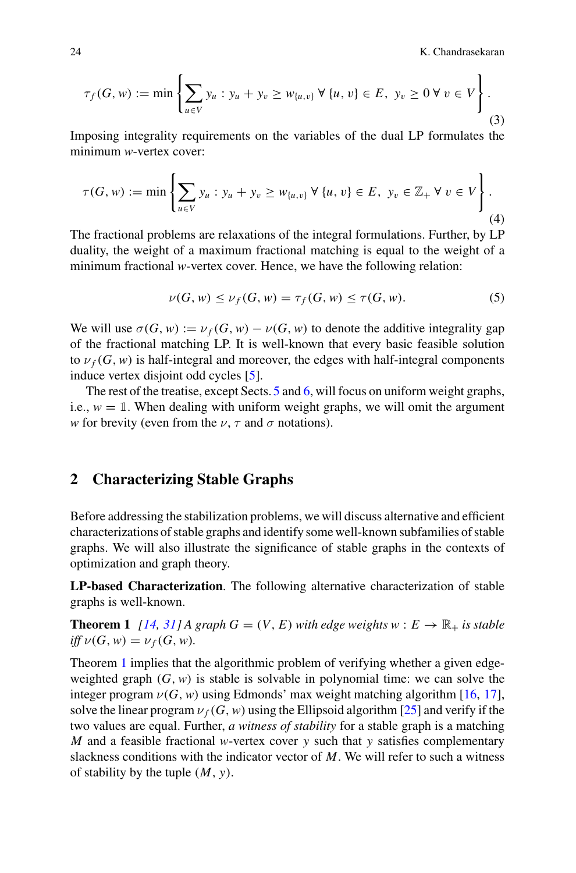$$
\tau_f(G, w) := \min \left\{ \sum_{u \in V} y_u : y_u + y_v \ge w_{\{u, v\}} \ \forall \ \{u, v\} \in E, \ y_v \ge 0 \ \forall \ v \in V \right\}.
$$
\n(3)

Imposing integrality requirements on the variables of the dual LP formulates the minimum *w*-vertex cover:

$$
\tau(G, w) := \min \left\{ \sum_{u \in V} y_u : y_u + y_v \ge w_{\{u, v\}} \ \forall \ \{u, v\} \in E, \ y_v \in \mathbb{Z}_+ \ \forall \ v \in V \right\}.
$$
\n(4)

The fractional problems are relaxations of the integral formulations. Further, by LP duality, the weight of a maximum fractional matching is equal to the weight of a minimum fractional *w*-vertex cover. Hence, we have the following relation:

$$
\nu(G, w) \le \nu_f(G, w) = \tau_f(G, w) \le \tau(G, w). \tag{5}
$$

We will use  $\sigma(G, w) := \nu_f(G, w) - \nu(G, w)$  to denote the additive integrality gap of the fractional matching LP. It is well-known that every basic feasible solution to  $\nu_f(G, w)$  is half-integral and moreover, the edges with half-integral components induce vertex disjoint odd cycles [\[5](#page-18-2)].

The rest of the treatise, except Sects. [5](#page-15-0) and [6,](#page-17-0) will focus on uniform weight graphs, i.e.,  $w = \mathbb{I}$ . When dealing with uniform weight graphs, we will omit the argument *w* for brevity (even from the  $\nu$ ,  $\tau$  and  $\sigma$  notations).

## **2 Characterizing Stable Graphs**

Before addressing the stabilization problems, we will discuss alternative and efficient characterizations of stable graphs and identify some well-known subfamilies of stable graphs. We will also illustrate the significance of stable graphs in the contexts of optimization and graph theory.

<span id="page-3-0"></span>**LP-based Characterization**. The following alternative characterization of stable graphs is well-known.

**Theorem 1** *[\[14](#page-19-17), [31\]](#page-19-9)* A graph  $G = (V, E)$  with edge weights  $w : E \to \mathbb{R}_+$  is stable  $if\ f\nu(G, w) = \nu_f(G, w).$ 

Theorem [1](#page-3-0) implies that the algorithmic problem of verifying whether a given edgeweighted graph  $(G, w)$  is stable is solvable in polynomial time: we can solve the integer program  $\nu(G, w)$  using Edmonds' max weight matching algorithm [\[16,](#page-19-18) [17](#page-19-19)], solve the linear program  $\nu_f(G, w)$  using the Ellipsoid algorithm [\[25](#page-19-20)] and verify if the two values are equal. Further, *a witness of stability* for a stable graph is a matching *M* and a feasible fractional *w*-vertex cover *y* such that *y* satisfies complementary slackness conditions with the indicator vector of *M*. We will refer to such a witness of stability by the tuple (*M*, *y*).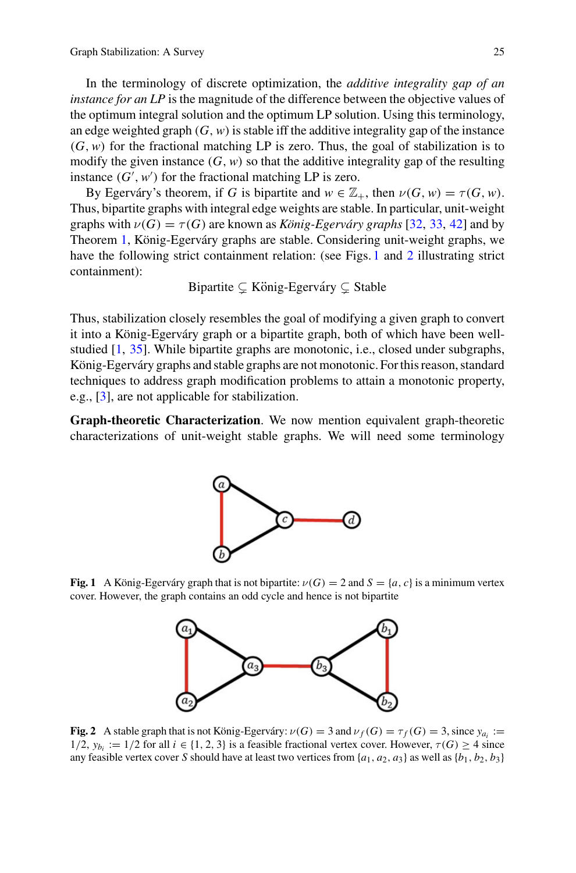In the terminology of discrete optimization, the *additive integrality gap of an instance for an LP* is the magnitude of the difference between the objective values of the optimum integral solution and the optimum LP solution. Using this terminology, an edge weighted graph  $(G, w)$  is stable iff the additive integrality gap of the instance  $(G, w)$  for the fractional matching LP is zero. Thus, the goal of stabilization is to modify the given instance  $(G, w)$  so that the additive integrality gap of the resulting instance  $(G', w')$  for the fractional matching LP is zero.

By Egerváry's theorem, if *G* is bipartite and  $w \in \mathbb{Z}_+$ , then  $\nu(G, w) = \tau(G, w)$ . Thus, bipartite graphs with integral edge weights are stable. In particular, unit-weight graphs with  $\nu(G) = \tau(G)$  are known as *König-Egerváry graphs* [\[32,](#page-19-21) [33,](#page-19-22) [42](#page-20-8)] and by Theorem [1,](#page-3-0) König-Egerváry graphs are stable. Considering unit-weight graphs, we have the following strict containment relation: (see Figs. [1](#page-4-0) and [2](#page-4-1) illustrating strict containment):

Bipartite  $\subsetneq$  König-Egerváry  $\subsetneq$  Stable

Thus, stabilization closely resembles the goal of modifying a given graph to convert it into a König-Egerváry graph or a bipartite graph, both of which have been wellstudied [\[1](#page-18-3), [35](#page-19-23)]. While bipartite graphs are monotonic, i.e., closed under subgraphs, König-Egerváry graphs and stable graphs are not monotonic. For this reason, standard techniques to address graph modification problems to attain a monotonic property, e.g., [\[3](#page-18-4)], are not applicable for stabilization.

**Graph-theoretic Characterization**. We now mention equivalent graph-theoretic characterizations of unit-weight stable graphs. We will need some terminology



<span id="page-4-0"></span>**Fig. 1** A König-Egerváry graph that is not bipartite:  $\nu(G) = 2$  and  $S = \{a, c\}$  is a minimum vertex cover. However, the graph contains an odd cycle and hence is not bipartite



<span id="page-4-1"></span>**Fig. 2** A stable graph that is not König-Egerváry:  $\nu(G) = 3$  and  $\nu_f(G) = \tau_f(G) = 3$ , since  $y_{a_i} :=$  $1/2$ ,  $y_{b_i} := 1/2$  for all  $i \in \{1, 2, 3\}$  is a feasible fractional vertex cover. However,  $\tau(G) \geq 4$  since any feasible vertex cover *S* should have at least two vertices from  $\{a_1, a_2, a_3\}$  as well as  $\{b_1, b_2, b_3\}$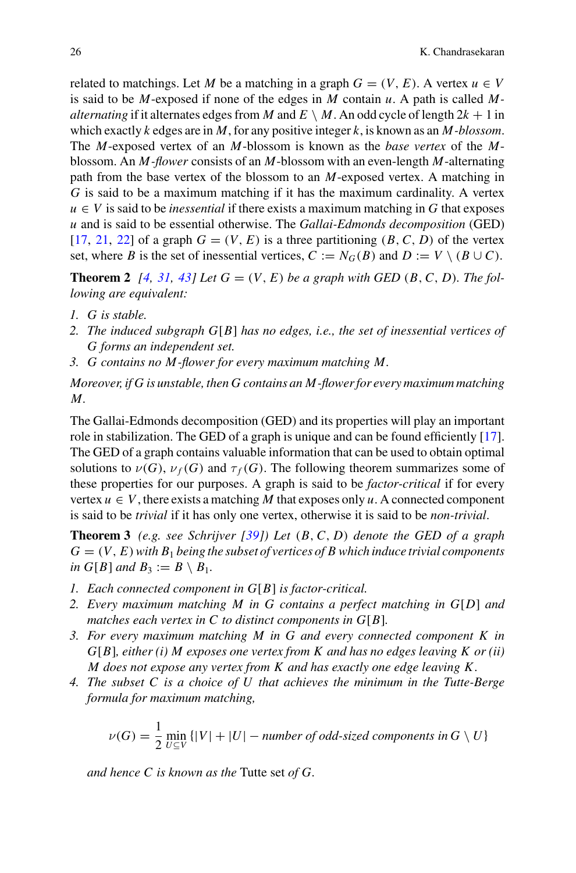related to matchings. Let *M* be a matching in a graph  $G = (V, E)$ . A vertex  $u \in V$ is said to be *M*-exposed if none of the edges in *M* contain *u*. A path is called *Malternating* if it alternates edges from *M* and  $E \setminus M$ . An odd cycle of length  $2k + 1$  in which exactly *k* edges are in *M*, for any positive integer *k*, is known as an *M-blossom*. The *M*-exposed vertex of an *M*-blossom is known as the *base vertex* of the *M*blossom. An *M-flower* consists of an *M*-blossom with an even-length *M*-alternating path from the base vertex of the blossom to an *M*-exposed vertex. A matching in *G* is said to be a maximum matching if it has the maximum cardinality. A vertex  $u \in V$  is said to be *inessential* if there exists a maximum matching in G that exposes *u* and is said to be essential otherwise. The *Gallai-Edmonds decomposition* (GED)  $[17, 21, 22]$  $[17, 21, 22]$  $[17, 21, 22]$  $[17, 21, 22]$  $[17, 21, 22]$  $[17, 21, 22]$  of a graph  $G = (V, E)$  is a three partitioning  $(B, C, D)$  of the vertex set, where *B* is the set of inessential vertices,  $C := N_G(B)$  and  $D := V \setminus (B \cup C)$ .

<span id="page-5-1"></span>**Theorem 2** [\[4](#page-18-5), [31](#page-19-9), [43](#page-20-9)] Let  $G = (V, E)$  be a graph with GED ( $B, C, D$ ). The fol*lowing are equivalent:*

- *1. G is stable.*
- *2. The induced subgraph G*[*B*] *has no edges, i.e., the set of inessential vertices of G forms an independent set.*
- *3. G contains no M-flower for every maximum matching M.*

*Moreover, if G is unstable, then G contains an M-flower for every maximum matching M.*

The Gallai-Edmonds decomposition (GED) and its properties will play an important role in stabilization. The GED of a graph is unique and can be found efficiently [\[17](#page-19-19)]. The GED of a graph contains valuable information that can be used to obtain optimal solutions to  $\nu(G)$ ,  $\nu_f(G)$  and  $\tau_f(G)$ . The following theorem summarizes some of these properties for our purposes. A graph is said to be *factor-critical* if for every vertex  $u \in V$ , there exists a matching M that exposes only u. A connected component is said to be *trivial* if it has only one vertex, otherwise it is said to be *non-trivial*.

<span id="page-5-0"></span>**Theorem 3** *(e.g. see Schrijver [\[39\]](#page-20-7)) Let* (*B*,*C*, *D*) *denote the GED of a graph*  $G = (V, E)$  with  $B_1$  *being the subset of vertices of B which induce trivial components in*  $G[B]$  *and*  $B_3 := B \setminus B_1$ *.* 

- *1. Each connected component in G*[*B*] *is factor-critical.*
- *2. Every maximum matching M in G contains a perfect matching in G*[*D*] *and matches each vertex in C to distinct components in G*[*B*]*.*
- *3. For every maximum matching M in G and every connected component K in G*[*B*]*, either (i) M exposes one vertex from K and has no edges leaving K or (ii) M does not expose any vertex from K and has exactly one edge leaving K .*
- *4. The subset C is a choice of U that achieves the minimum in the Tutte-Berge formula for maximum matching,*

$$
\nu(G) = \frac{1}{2} \min_{U \subseteq V} \{ |V| + |U| - \text{number of odd-sized components in } G \setminus U \}
$$

*and hence C is known as the* Tutte set *of G.*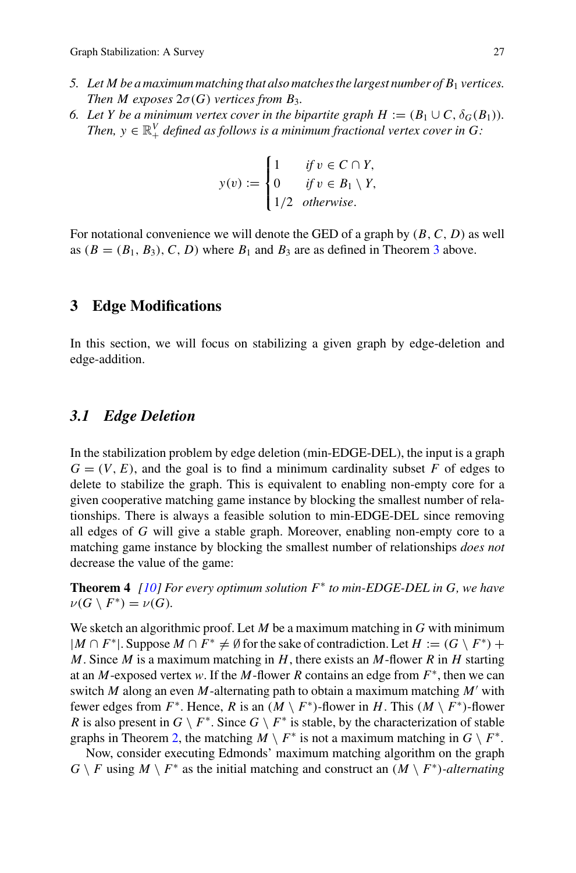- 5. Let M be a maximum matching that also matches the largest number of  $B_1$  vertices. *Then M exposes*  $2\sigma(G)$  *vertices from B<sub>3</sub>.*
- *6. Let Y be a minimum vertex cover in the bipartite graph*  $H := (B_1 \cup C, \delta_G(B_1))$ *.* Then,  $y \in \mathbb{R}^V_+$  *defined as follows is a minimum fractional vertex cover in G:*

$$
y(v) := \begin{cases} 1 & \text{if } v \in C \cap Y, \\ 0 & \text{if } v \in B_1 \setminus Y, \\ 1/2 & \text{otherwise.} \end{cases}
$$

For notational convenience we will denote the GED of a graph by (*B*,*C*, *D*) as well as  $(B = (B_1, B_3), C, D)$  $(B = (B_1, B_3), C, D)$  $(B = (B_1, B_3), C, D)$  where  $B_1$  and  $B_3$  are as defined in Theorem 3 above.

#### <span id="page-6-0"></span>**3 Edge Modifications**

In this section, we will focus on stabilizing a given graph by edge-deletion and edge-addition.

#### <span id="page-6-2"></span>*3.1 Edge Deletion*

In the stabilization problem by edge deletion (min-EDGE-DEL), the input is a graph  $G = (V, E)$ , and the goal is to find a minimum cardinality subset *F* of edges to delete to stabilize the graph. This is equivalent to enabling non-empty core for a given cooperative matching game instance by blocking the smallest number of relationships. There is always a feasible solution to min-EDGE-DEL since removing all edges of *G* will give a stable graph. Moreover, enabling non-empty core to a matching game instance by blocking the smallest number of relationships *does not* decrease the value of the game:

<span id="page-6-1"></span>**Theorem 4** *[\[10](#page-19-12)] For every optimum solution F*<sup>∗</sup> *to min-EDGE-DEL in G, we have*  $\nu(G \setminus F^*) = \nu(G)$ .

We sketch an algorithmic proof. Let *M* be a maximum matching in *G* with minimum  $|M \cap F^*|$ . Suppose *M* ∩  $F^* \neq \emptyset$  for the sake of contradiction. Let  $H := (G \setminus F^*)$  + *M*. Since *M* is a maximum matching in *H*, there exists an *M*-flower *R* in *H* starting at an *M*-exposed vertex *w*. If the *M*-flower *R* contains an edge from *F*∗, then we can switch *M* along an even *M*-alternating path to obtain a maximum matching  $M'$  with fewer edges from  $F^*$ . Hence, R is an  $(M \setminus F^*)$ -flower in H. This  $(M \setminus F^*)$ -flower *R* is also present in  $G \setminus F^*$ . Since  $G \setminus F^*$  is stable, by the characterization of stable graphs in Theorem [2,](#page-5-1) the matching  $M \setminus F^*$  is not a maximum matching in  $G \setminus F^*$ .

Now, consider executing Edmonds' maximum matching algorithm on the graph  $G \setminus F$  using  $M \setminus F^*$  as the initial matching and construct an  $(M \setminus F^*)$ -*alternating*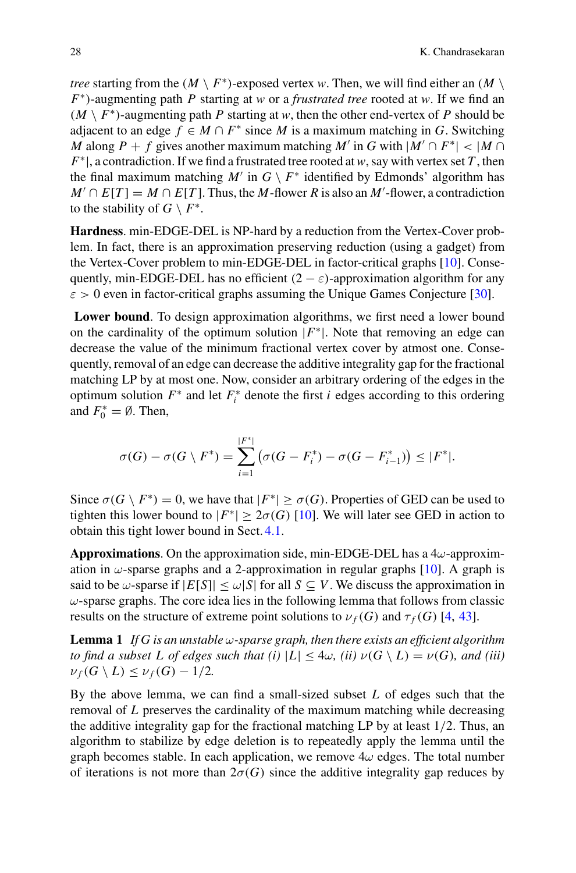*tree* starting from the  $(M \setminus F^*)$ -exposed vertex *w*. Then, we will find either an  $(M \setminus F^*)$ *F*∗)-augmenting path *P* starting at *w* or a *frustrated tree* rooted at *w*. If we find an  $(M \setminus F^*)$ -augmenting path *P* starting at *w*, then the other end-vertex of *P* should be adjacent to an edge  $f \in M \cap F^*$  since *M* is a maximum matching in *G*. Switching *M* along  $P + f$  gives another maximum matching *M'* in *G* with  $|M' \cap F^*| < |M \cap F^*|$ *F*∗|, a contradiction. If we find a frustrated tree rooted at*w*, say with vertex set *T* , then the final maximum matching  $M'$  in  $G \setminus F^*$  identified by Edmonds' algorithm has  $M' \cap E[T] = M \cap E[T]$ . Thus, the *M*-flower *R* is also an *M*'-flower, a contradiction to the stability of  $G \setminus F^*$ .

**Hardness**. min-EDGE-DEL is NP-hard by a reduction from the Vertex-Cover problem. In fact, there is an approximation preserving reduction (using a gadget) from the Vertex-Cover problem to min-EDGE-DEL in factor-critical graphs [\[10\]](#page-19-12). Consequently, min-EDGE-DEL has no efficient  $(2 - \varepsilon)$ -approximation algorithm for any  $\varepsilon > 0$  even in factor-critical graphs assuming the Unique Games Conjecture [\[30\]](#page-19-26).

**Lower bound**. To design approximation algorithms, we first need a lower bound on the cardinality of the optimum solution  $|F^*|$ . Note that removing an edge can decrease the value of the minimum fractional vertex cover by atmost one. Consequently, removal of an edge can decrease the additive integrality gap for the fractional matching LP by at most one. Now, consider an arbitrary ordering of the edges in the optimum solution *F*<sup>∗</sup> and let *F*<sup>∗</sup> *<sup>i</sup>* denote the first *i* edges according to this ordering and  $F_0^* = \emptyset$ . Then,

<span id="page-7-0"></span>
$$
\sigma(G) - \sigma(G \setminus F^*) = \sum_{i=1}^{|F^*|} (\sigma(G - F_i^*) - \sigma(G - F_{i-1}^*)) \leq |F^*|.
$$

Since  $\sigma(G \setminus F^*) = 0$ , we have that  $|F^*| \ge \sigma(G)$ . Properties of GED can be used to tighten this lower bound to  $|F^*| \geq 2\sigma(G)$  [\[10\]](#page-19-12). We will later see GED in action to obtain this tight lower bound in Sect. [4.1.](#page-11-1)

**Approximations**. On the approximation side, min-EDGE-DEL has a  $4\omega$ -approximation in  $\omega$ -sparse graphs and a 2-approximation in regular graphs [\[10\]](#page-19-12). A graph is said to be  $\omega$ -sparse if  $|E[S]| \leq \omega|S|$  for all  $S \subseteq V$ . We discuss the approximation in  $\omega$ -sparse graphs. The core idea lies in the following lemma that follows from classic results on the structure of extreme point solutions to  $\nu_f(G)$  and  $\tau_f(G)$  [\[4,](#page-18-5) [43](#page-20-9)].

**Lemma 1** *If G is an unstable* ω*-sparse graph, then there exists an efficient algorithm to find a subset L of edges such that (i)*  $|L| \leq 4\omega$ , *(ii)*  $\nu(G \setminus L) = \nu(G)$ *, and (iii)*  $\nu_f(G \setminus L) \leq \nu_f(G) - 1/2.$ 

By the above lemma, we can find a small-sized subset *L* of edges such that the removal of *L* preserves the cardinality of the maximum matching while decreasing the additive integrality gap for the fractional matching LP by at least  $1/2$ . Thus, an algorithm to stabilize by edge deletion is to repeatedly apply the lemma until the graph becomes stable. In each application, we remove  $4\omega$  edges. The total number of iterations is not more than  $2\sigma(G)$  since the additive integrality gap reduces by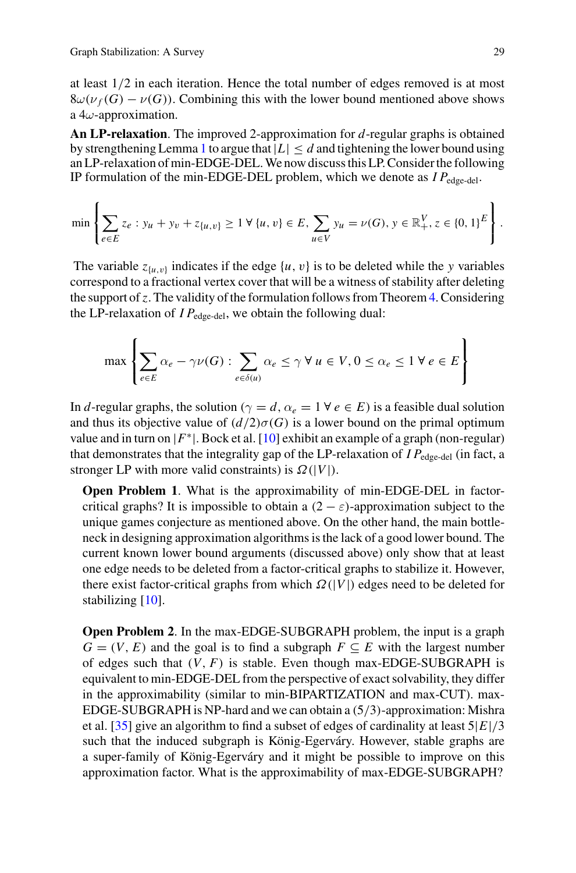at least 1/2 in each iteration. Hence the total number of edges removed is at most  $8\omega(\nu_f(G) - \nu(G))$ . Combining this with the lower bound mentioned above shows a  $4\omega$ -approximation.

**An LP-relaxation**. The improved 2-approximation for *d*-regular graphs is obtained by strengthening Lemma [1](#page-7-0) to argue that  $|L| < d$  and tightening the lower bound using an LP-relaxation of min-EDGE-DEL.We now discuss this LP. Consider the following IP formulation of the min-EDGE-DEL problem, which we denote as *I P*edge-del.

$$
\min \left\{ \sum_{e \in E} z_e : y_u + y_v + z_{\{u,v\}} \ge 1 \ \forall \ \{u,v\} \in E, \ \sum_{u \in V} y_u = \nu(G), \ y \in \mathbb{R}^V_+, \ z \in \{0,1\}^E \right\}.
$$

The variable  $z_{\{u,v\}}$  indicates if the edge  $\{u, v\}$  is to be deleted while the *y* variables correspond to a fractional vertex cover that will be a witness of stability after deleting the support of  $\zeta$ . The validity of the formulation follows from Theorem [4.](#page-6-1) Considering the LP-relaxation of  $IP_{\text{edge-del}}$ , we obtain the following dual:

$$
\max \left\{ \sum_{e \in E} \alpha_e - \gamma \nu(G) : \sum_{e \in \delta(u)} \alpha_e \le \gamma \ \forall \ u \in V, 0 \le \alpha_e \le 1 \ \forall \ e \in E \right\}
$$

In *d*-regular graphs, the solution ( $\gamma = d$ ,  $\alpha_e = 1 \forall e \in E$ ) is a feasible dual solution and thus its objective value of  $(d/2)\sigma(G)$  is a lower bound on the primal optimum value and in turn on  $|F^*|$ . Bock et al. [\[10](#page-19-12)] exhibit an example of a graph (non-regular) that demonstrates that the integrality gap of the LP-relaxation of  $IP_{\text{edge-del}}$  (in fact, a stronger LP with more valid constraints) is  $\Omega(|V|)$ .

**Open Problem 1**. What is the approximability of min-EDGE-DEL in factorcritical graphs? It is impossible to obtain a  $(2 - \varepsilon)$ -approximation subject to the unique games conjecture as mentioned above. On the other hand, the main bottleneck in designing approximation algorithms is the lack of a good lower bound. The current known lower bound arguments (discussed above) only show that at least one edge needs to be deleted from a factor-critical graphs to stabilize it. However, there exist factor-critical graphs from which Ω(|*V*|) edges need to be deleted for stabilizing [\[10](#page-19-12)].

**Open Problem 2**. In the max-EDGE-SUBGRAPH problem, the input is a graph  $G = (V, E)$  and the goal is to find a subgraph  $F \subseteq E$  with the largest number of edges such that  $(V, F)$  is stable. Even though max-EDGE-SUBGRAPH is equivalent to min-EDGE-DEL from the perspective of exact solvability, they differ in the approximability (similar to min-BIPARTIZATION and max-CUT). max-EDGE-SUBGRAPH is NP-hard and we can obtain a (5/3)-approximation: Mishra et al. [\[35\]](#page-19-23) give an algorithm to find a subset of edges of cardinality at least 5|*E*|/3 such that the induced subgraph is König-Egerváry. However, stable graphs are a super-family of König-Egerváry and it might be possible to improve on this approximation factor. What is the approximability of max-EDGE-SUBGRAPH?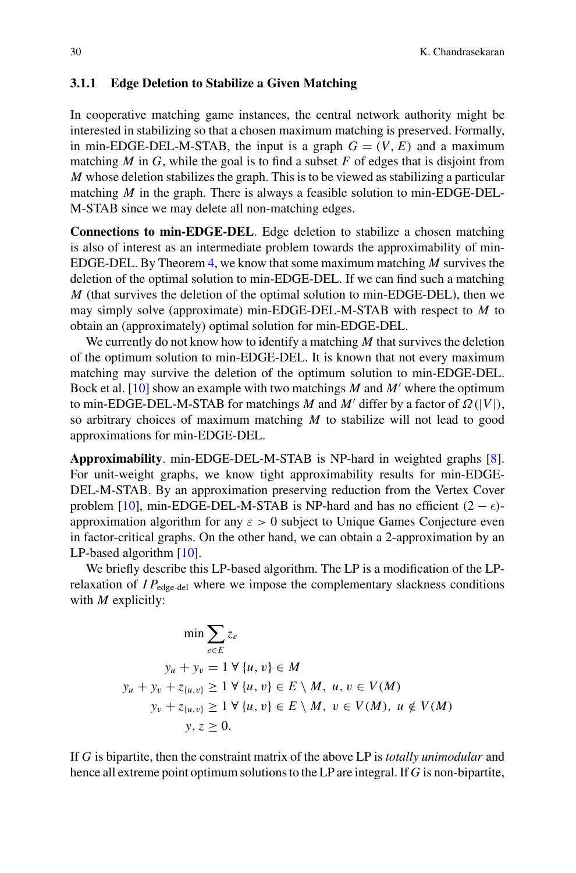#### **3.1.1 Edge Deletion to Stabilize a Given Matching**

In cooperative matching game instances, the central network authority might be interested in stabilizing so that a chosen maximum matching is preserved. Formally, in min-EDGE-DEL-M-STAB, the input is a graph  $G = (V, E)$  and a maximum matching  $M$  in  $G$ , while the goal is to find a subset  $F$  of edges that is disjoint from *M* whose deletion stabilizes the graph. This is to be viewed as stabilizing a particular matching *M* in the graph. There is always a feasible solution to min-EDGE-DEL-M-STAB since we may delete all non-matching edges.

**Connections to min-EDGE-DEL**. Edge deletion to stabilize a chosen matching is also of interest as an intermediate problem towards the approximability of min-EDGE-DEL. By Theorem [4,](#page-6-1) we know that some maximum matching *M* survives the deletion of the optimal solution to min-EDGE-DEL. If we can find such a matching *M* (that survives the deletion of the optimal solution to min-EDGE-DEL), then we may simply solve (approximate) min-EDGE-DEL-M-STAB with respect to *M* to obtain an (approximately) optimal solution for min-EDGE-DEL.

We currently do not know how to identify a matching *M* that survives the deletion of the optimum solution to min-EDGE-DEL. It is known that not every maximum matching may survive the deletion of the optimum solution to min-EDGE-DEL. Bock et al.  $[10]$  show an example with two matchings *M* and *M'* where the optimum to min-EDGE-DEL-M-STAB for matchings *M* and *M'* differ by a factor of  $\Omega(|V|)$ , so arbitrary choices of maximum matching *M* to stabilize will not lead to good approximations for min-EDGE-DEL.

**Approximability**. min-EDGE-DEL-M-STAB is NP-hard in weighted graphs [\[8](#page-19-3)]. For unit-weight graphs, we know tight approximability results for min-EDGE-DEL-M-STAB. By an approximation preserving reduction from the Vertex Cover problem [\[10](#page-19-12)], min-EDGE-DEL-M-STAB is NP-hard and has no efficient  $(2 - \epsilon)$ approximation algorithm for any  $\varepsilon > 0$  subject to Unique Games Conjecture even in factor-critical graphs. On the other hand, we can obtain a 2-approximation by an LP-based algorithm [\[10](#page-19-12)].

We briefly describe this LP-based algorithm. The LP is a modification of the LPrelaxation of  $IP_{\text{edge-del}}$  where we impose the complementary slackness conditions with *M* explicitly:

$$
\min \sum_{e \in E} z_e
$$
  
\n
$$
y_u + y_v = 1 \ \forall \{u, v\} \in M
$$
  
\n
$$
y_u + y_v + z_{\{u, v\}} \ge 1 \ \forall \{u, v\} \in E \ \setminus M, \ u, v \in V(M)
$$
  
\n
$$
y_v + z_{\{u, v\}} \ge 1 \ \forall \{u, v\} \in E \ \setminus M, \ v \in V(M), \ u \notin V(M)
$$
  
\n
$$
y, z \ge 0.
$$

If *G* is bipartite, then the constraint matrix of the above LP is *totally unimodular* and hence all extreme point optimum solutions to the LP are integral. If *G* is non-bipartite,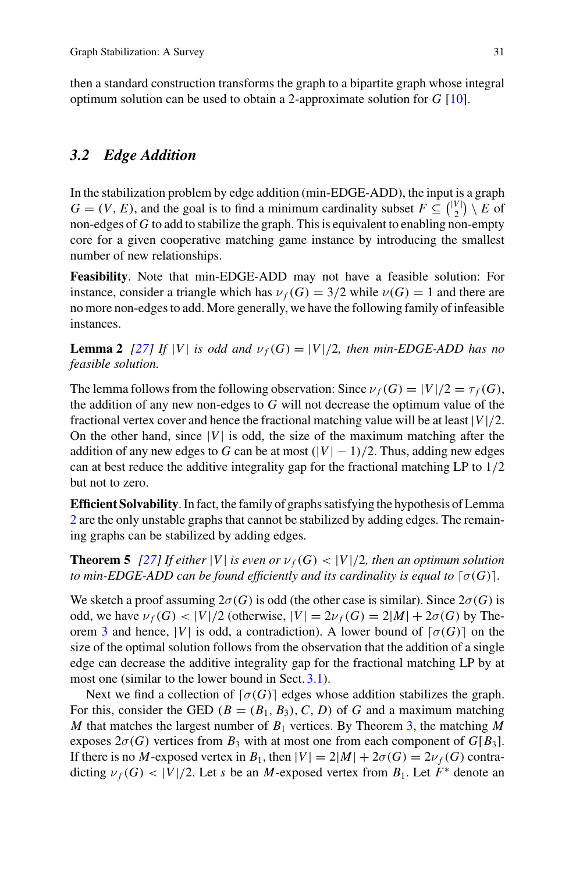then a standard construction transforms the graph to a bipartite graph whose integral optimum solution can be used to obtain a 2-approximate solution for *G* [\[10](#page-19-12)].

## *3.2 Edge Addition*

In the stabilization problem by edge addition (min-EDGE-ADD), the input is a graph  $G = (V, E)$ , and the goal is to find a minimum cardinality subset  $F \subseteq \binom{|V|}{2} \setminus E$  of non-edges of *G* to add to stabilize the graph. This is equivalent to enabling non-empty core for a given cooperative matching game instance by introducing the smallest number of new relationships.

<span id="page-10-0"></span>**Feasibility**. Note that min-EDGE-ADD may not have a feasible solution: For instance, consider a triangle which has  $\nu_f(G) = 3/2$  while  $\nu(G) = 1$  and there are no more non-edges to add. More generally, we have the following family of infeasible instances.

**Lemma 2** *[\[27\]](#page-19-14) If*  $|V|$  *is odd and*  $\nu_f(G) = |V|/2$ *, then min-EDGE-ADD has no feasible solution.*

The lemma follows from the following observation: Since  $\nu_f(G) = |V|/2 = \tau_f(G)$ , the addition of any new non-edges to *G* will not decrease the optimum value of the fractional vertex cover and hence the fractional matching value will be at least |*V*|/2. On the other hand, since  $|V|$  is odd, the size of the maximum matching after the addition of any new edges to *G* can be at most  $(|V| - 1)/2$ . Thus, adding new edges can at best reduce the additive integrality gap for the fractional matching LP to 1/2 but not to zero.

<span id="page-10-1"></span>**Efficient Solvability**. In fact, the family of graphs satisfying the hypothesis of Lemma [2](#page-10-0) are the only unstable graphs that cannot be stabilized by adding edges. The remaining graphs can be stabilized by adding edges.

**Theorem 5** [\[27](#page-19-14)] If either  $|V|$  is even or  $\nu_f(G) < |V|/2$ , then an optimum solution *to min-EDGE-ADD can be found efficiently and its cardinality is equal to*  $\lceil \sigma(G) \rceil$ .

We sketch a proof assuming  $2\sigma(G)$  is odd (the other case is similar). Since  $2\sigma(G)$  is odd, we have  $\nu_f(G) < |V|/2$  (otherwise,  $|V| = 2\nu_f(G) = 2|M| + 2\sigma(G)$  by The-orem [3](#page-5-0) and hence, |*V*| is odd, a contradiction). A lower bound of  $\lceil \sigma(G) \rceil$  on the size of the optimal solution follows from the observation that the addition of a single edge can decrease the additive integrality gap for the fractional matching LP by at most one (similar to the lower bound in Sect. [3.1\)](#page-6-2).

Next we find a collection of  $\lceil \sigma(G) \rceil$  edges whose addition stabilizes the graph. For this, consider the GED ( $B = (B_1, B_3), C, D$ ) of *G* and a maximum matching *M* that matches the largest number of  $B_1$  vertices. By Theorem [3,](#page-5-0) the matching M exposes  $2\sigma(G)$  vertices from  $B_3$  with at most one from each component of  $G[B_3]$ . If there is no *M*-exposed vertex in  $B_1$ , then  $|V| = 2|M| + 2\sigma(G) = 2\nu_f(G)$  contradicting  $\nu_f(G) < |V|/2$ . Let *s* be an *M*-exposed vertex from  $B_1$ . Let  $F^*$  denote an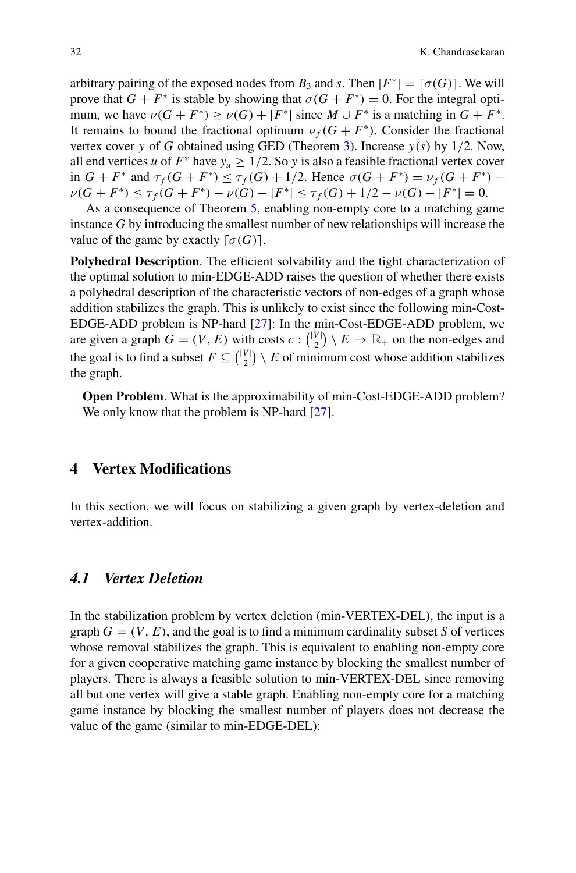arbitrary pairing of the exposed nodes from  $B_3$  and *s*. Then  $|F^*| = \lceil \sigma(G) \rceil$ . We will prove that  $G + F^*$  is stable by showing that  $\sigma(G + F^*) = 0$ . For the integral optimum, we have  $\nu(G + F^*) \ge \nu(G) + |F^*|$  since  $M \cup F^*$  is a matching in  $G + F^*$ . It remains to bound the fractional optimum  $\nu_f(G + F^*)$ . Consider the fractional vertex cover *y* of *G* obtained using GED (Theorem [3\)](#page-5-0). Increase  $y(s)$  by 1/2. Now, all end vertices *u* of  $F^*$  have  $y_u \geq 1/2$ . So *y* is also a feasible fractional vertex cover in  $G + F^*$  and  $\tau_f(G + F^*) \leq \tau_f(G) + 1/2$ . Hence  $\sigma(G + F^*) = \nu_f(G + F^*)$  $\nu(G + F^*) \leq \tau_f(G + F^*) - \nu(G) - |F^*| \leq \tau_f(G) + 1/2 - \nu(G) - |F^*| = 0.$ 

As a consequence of Theorem [5,](#page-10-1) enabling non-empty core to a matching game instance *G* by introducing the smallest number of new relationships will increase the value of the game by exactly  $\lceil \sigma(G) \rceil$ .

**Polyhedral Description**. The efficient solvability and the tight characterization of the optimal solution to min-EDGE-ADD raises the question of whether there exists a polyhedral description of the characteristic vectors of non-edges of a graph whose addition stabilizes the graph. This is unlikely to exist since the following min-Cost-EDGE-ADD problem is NP-hard [\[27](#page-19-14)]: In the min-Cost-EDGE-ADD problem, we are given a graph  $G = (V, E)$  with costs  $c: \binom{|V|}{2} \setminus E \to \mathbb{R}_+$  on the non-edges and the goal is to find a subset  $F \subseteq \binom{|V|}{2} \setminus E$  of minimum cost whose addition stabilizes the graph.

**Open Problem**. What is the approximability of min-Cost-EDGE-ADD problem? We only know that the problem is NP-hard [\[27\]](#page-19-14).

## <span id="page-11-0"></span>**4 Vertex Modifications**

In this section, we will focus on stabilizing a given graph by vertex-deletion and vertex-addition.

#### <span id="page-11-1"></span>*4.1 Vertex Deletion*

<span id="page-11-2"></span>In the stabilization problem by vertex deletion (min-VERTEX-DEL), the input is a graph  $G = (V, E)$ , and the goal is to find a minimum cardinality subset S of vertices whose removal stabilizes the graph. This is equivalent to enabling non-empty core for a given cooperative matching game instance by blocking the smallest number of players. There is always a feasible solution to min-VERTEX-DEL since removing all but one vertex will give a stable graph. Enabling non-empty core for a matching game instance by blocking the smallest number of players does not decrease the value of the game (similar to min-EDGE-DEL):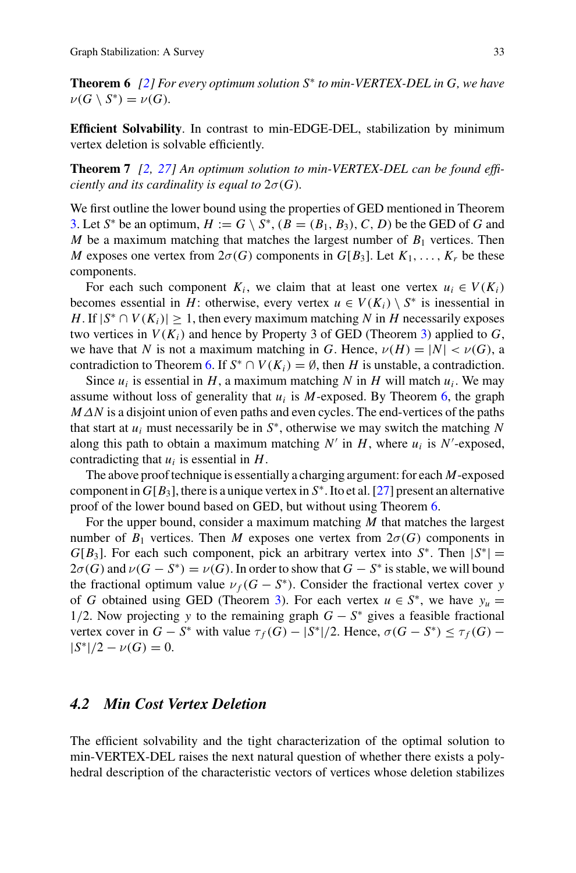**Theorem 6** *[\[2](#page-18-1)] For every optimum solution S*<sup>∗</sup> *to min-VERTEX-DEL in G, we have*  $\nu(G \setminus S^*) = \nu(G)$ .

**Efficient Solvability**. In contrast to min-EDGE-DEL, stabilization by minimum vertex deletion is solvable efficiently.

**Theorem 7** *[\[2](#page-18-1), [27\]](#page-19-14) An optimum solution to min-VERTEX-DEL can be found efficiently and its cardinality is equal to*  $2\sigma(G)$ *.* 

We first outline the lower bound using the properties of GED mentioned in Theorem [3.](#page-5-0) Let  $S^*$  be an optimum,  $H := G \setminus S^*$ ,  $(B = (B_1, B_3), C, D)$  be the GED of *G* and *M* be a maximum matching that matches the largest number of  $B_1$  vertices. Then *M* exposes one vertex from  $2\sigma(G)$  components in  $G[B_3]$ . Let  $K_1, \ldots, K_r$  be these components.

For each such component  $K_i$ , we claim that at least one vertex  $u_i \in V(K_i)$ becomes essential in *H*: otherwise, every vertex  $u \in V(K_i) \setminus S^*$  is inessential in *H*. If  $|S^* \cap V(K_i)| \geq 1$ , then every maximum matching *N* in *H* necessarily exposes two vertices in  $V(K_i)$  and hence by Property 3 of GED (Theorem [3\)](#page-5-0) applied to  $G$ , we have that *N* is not a maximum matching in *G*. Hence,  $\nu(H) = |N| < \nu(G)$ , a contradiction to Theorem [6.](#page-11-2) If  $S^* \cap V(K_i) = \emptyset$ , then *H* is unstable, a contradiction.

Since  $u_i$  is essential in *H*, a maximum matching *N* in *H* will match  $u_i$ . We may assume without loss of generality that  $u_i$  is  $M$ -exposed. By Theorem [6,](#page-11-2) the graph *M*Δ*N* is a disjoint union of even paths and even cycles. The end-vertices of the paths that start at *ui* must necessarily be in *S*∗, otherwise we may switch the matching *N* along this path to obtain a maximum matching  $N'$  in  $H$ , where  $u_i$  is  $N'$ -exposed, contradicting that *ui* is essential in *H*.

The above proof technique is essentially a charging argument: for each *M*-exposed component in  $G[B_3]$ , there is a unique vertex in  $S^*$ . Ito et al. [\[27\]](#page-19-14) present an alternative proof of the lower bound based on GED, but without using Theorem [6.](#page-11-2)

For the upper bound, consider a maximum matching *M* that matches the largest number of  $B_1$  vertices. Then M exposes one vertex from  $2\sigma(G)$  components in *G*[ $B_3$ ]. For each such component, pick an arbitrary vertex into  $S^*$ . Then  $|S^*|$  =  $2\sigma(G)$  and  $\nu(G - S^*) = \nu(G)$ . In order to show that  $G - S^*$  is stable, we will bound the fractional optimum value  $\nu_f(G - S^*)$ . Consider the fractional vertex cover *y* of *G* obtained using GED (Theorem [3\)](#page-5-0). For each vertex  $u \in S^*$ , we have  $y_u =$ 1/2. Now projecting *y* to the remaining graph *G* − *S*<sup>∗</sup> gives a feasible fractional vertex cover in  $G - S^*$  with value  $\tau_f(G) - |S^*|/2$ . Hence,  $\sigma(G - S^*) \leq \tau_f(G) |S^*|/2 - \nu(G) = 0.$ 

#### *4.2 Min Cost Vertex Deletion*

The efficient solvability and the tight characterization of the optimal solution to min-VERTEX-DEL raises the next natural question of whether there exists a polyhedral description of the characteristic vectors of vertices whose deletion stabilizes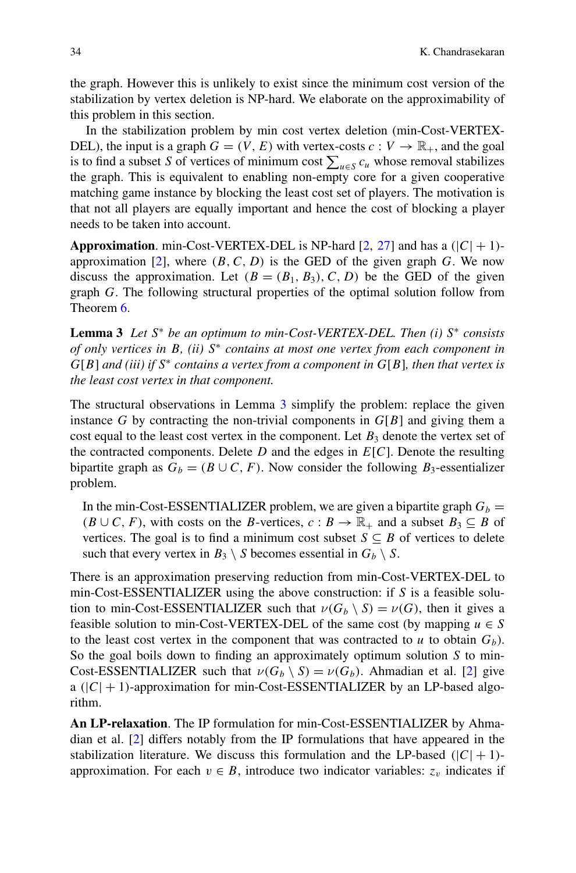the graph. However this is unlikely to exist since the minimum cost version of the stabilization by vertex deletion is NP-hard. We elaborate on the approximability of this problem in this section.

In the stabilization problem by min cost vertex deletion (min-Cost-VERTEX-DEL), the input is a graph  $G = (V, E)$  with vertex-costs  $c: V \to \mathbb{R}_+$ , and the goal is to find a subset *S* of vertices of minimum cost  $\sum_{u \in S} c_u$  whose removal stabilizes the graph. This is equivalent to enabling non-empty core for a given cooperative matching game instance by blocking the least cost set of players. The motivation is that not all players are equally important and hence the cost of blocking a player needs to be taken into account.

**Approximation**. min-Cost-VERTEX-DEL is NP-hard  $\left[2, 27\right]$  $\left[2, 27\right]$  $\left[2, 27\right]$  $\left[2, 27\right]$  $\left[2, 27\right]$  and has a  $\left(\left|C\right| + 1\right)$ -approximation [\[2\]](#page-18-1), where  $(B, C, D)$  is the GED of the given graph  $G$ . We now discuss the approximation. Let  $(B = (B_1, B_3), C, D)$  be the GED of the given graph *G*. The following structural properties of the optimal solution follow from Theorem [6.](#page-11-2)

<span id="page-13-0"></span>**Lemma 3** *Let S*<sup>∗</sup> *be an optimum to min-Cost-VERTEX-DEL. Then (i) S*<sup>∗</sup> *consists of only vertices in B, (ii) S*<sup>∗</sup> *contains at most one vertex from each component in G*[*B*] *and (iii) if S*<sup>∗</sup> *contains a vertex from a component in G*[*B*]*, then that vertex is the least cost vertex in that component.*

The structural observations in Lemma [3](#page-13-0) simplify the problem: replace the given instance *G* by contracting the non-trivial components in  $G[B]$  and giving them a cost equal to the least cost vertex in the component. Let  $B_3$  denote the vertex set of the contracted components. Delete *D* and the edges in  $E[C]$ . Denote the resulting bipartite graph as  $G_b = (B \cup C, F)$ . Now consider the following  $B_3$ -essentializer problem.

In the min-Cost-ESSENTIALIZER problem, we are given a bipartite graph  $G_b$  =  $(B \cup C, F)$ , with costs on the *B*-vertices,  $c : B \to \mathbb{R}_+$  and a subset  $B_3 \subseteq B$  of vertices. The goal is to find a minimum cost subset  $S \subseteq B$  of vertices to delete such that every vertex in  $B_3 \setminus S$  becomes essential in  $G_b \setminus S$ .

There is an approximation preserving reduction from min-Cost-VERTEX-DEL to min-Cost-ESSENTIALIZER using the above construction: if *S* is a feasible solution to min-Cost-ESSENTIALIZER such that  $\nu(G_b \setminus S) = \nu(G)$ , then it gives a feasible solution to min-Cost-VERTEX-DEL of the same cost (by mapping  $u \in S$ to the least cost vertex in the component that was contracted to *u* to obtain  $G_b$ ). So the goal boils down to finding an approximately optimum solution *S* to min-Cost-ESSENTIALIZER such that  $\nu(G_b \setminus S) = \nu(G_b)$ . Ahmadian et al. [\[2\]](#page-18-1) give a  $(|C| + 1)$ -approximation for min-Cost-ESSENTIALIZER by an LP-based algorithm.

**An LP-relaxation**. The IP formulation for min-Cost-ESSENTIALIZER by Ahmadian et al. [\[2\]](#page-18-1) differs notably from the IP formulations that have appeared in the stabilization literature. We discuss this formulation and the LP-based  $(|C| + 1)$ approximation. For each  $v \in B$ , introduce two indicator variables:  $z_v$  indicates if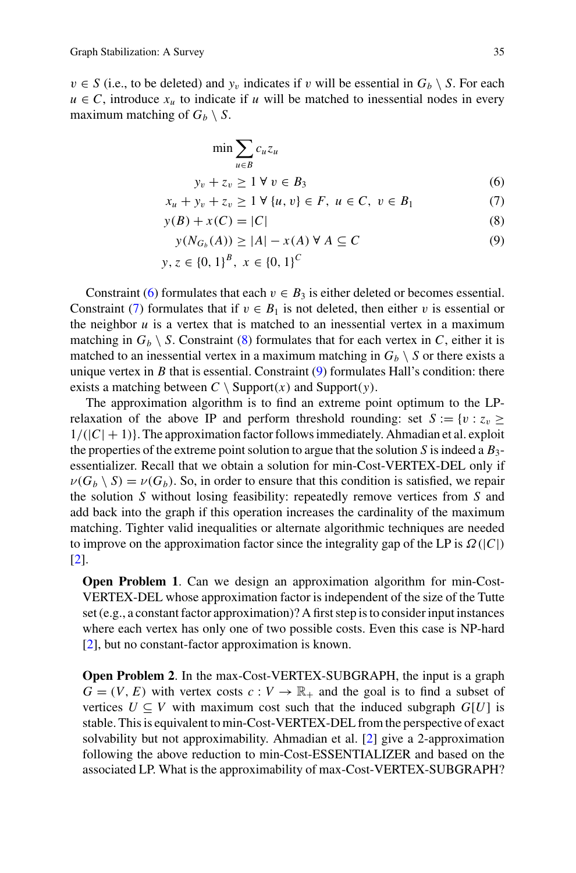$v \in S$  (i.e., to be deleted) and  $y_v$  indicates if v will be essential in  $G_b \setminus S$ . For each  $u \in C$ , introduce  $x_u$  to indicate if *u* will be matched to inessential nodes in every maximum matching of  $G_b \setminus S$ .

<span id="page-14-3"></span><span id="page-14-2"></span><span id="page-14-1"></span><span id="page-14-0"></span>
$$
\min \sum_{u \in B} c_u z_u
$$
  

$$
y_v + z_v > 1 \ \forall \ v \in B_3
$$
 (6)

$$
y_0 + z_0 = 1 + c \in B_3
$$
\n
$$
x + y + z > 1 \forall \{u, v\} \in F, u \in C, v \in R.
$$
\n
$$
(7)
$$

$$
x_u + y_v + z_v \ge 1 \lor \{u, v\} \in F, \ u \in C, \ v \in D_1
$$
  

$$
y(B) + x(C) = |C|
$$
 (8)

$$
y(D) + x(C) = |C|
$$
\n(8)

$$
y(N_{G_b}(A)) \ge |A| - x(A) \forall A \subseteq C
$$
\n(9)

$$
y, z \in \{0, 1\}^B, x \in \{0, 1\}^C
$$

Constraint [\(6\)](#page-14-0) formulates that each  $v \in B_3$  is either deleted or becomes essential. Constraint [\(7\)](#page-14-1) formulates that if  $v \in B_1$  is not deleted, then either v is essential or the neighbor  $u$  is a vertex that is matched to an inessential vertex in a maximum matching in  $G_b \setminus S$ . Constraint [\(8\)](#page-14-2) formulates that for each vertex in *C*, either it is matched to an inessential vertex in a maximum matching in  $G_b \setminus S$  or there exists a unique vertex in  $B$  that is essential. Constraint  $(9)$  formulates Hall's condition: there exists a matching between  $C \setminus \text{Support}(x)$  and  $\text{Support}(y)$ .

The approximation algorithm is to find an extreme point optimum to the LPrelaxation of the above IP and perform threshold rounding: set  $S := \{v : z_v \geq$  $1/(|C| + 1)$ . The approximation factor follows immediately. Ahmadian et al. exploit the properties of the extreme point solution to argue that the solution *S* is indeed a *B*3 essentializer. Recall that we obtain a solution for min-Cost-VERTEX-DEL only if  $\nu(G_b \setminus S) = \nu(G_b)$ . So, in order to ensure that this condition is satisfied, we repair the solution *S* without losing feasibility: repeatedly remove vertices from *S* and add back into the graph if this operation increases the cardinality of the maximum matching. Tighter valid inequalities or alternate algorithmic techniques are needed to improve on the approximation factor since the integrality gap of the LP is  $\Omega(|C|)$ [\[2\]](#page-18-1).

**Open Problem 1**. Can we design an approximation algorithm for min-Cost-VERTEX-DEL whose approximation factor is independent of the size of the Tutte set (e.g., a constant factor approximation)? A first step is to consider input instances where each vertex has only one of two possible costs. Even this case is NP-hard [\[2](#page-18-1)], but no constant-factor approximation is known.

**Open Problem 2**. In the max-Cost-VERTEX-SUBGRAPH, the input is a graph  $G = (V, E)$  with vertex costs  $c: V \to \mathbb{R}_+$  and the goal is to find a subset of vertices  $U \subseteq V$  with maximum cost such that the induced subgraph  $G[U]$  is stable. This is equivalent to min-Cost-VERTEX-DEL from the perspective of exact solvability but not approximability. Ahmadian et al. [\[2\]](#page-18-1) give a 2-approximation following the above reduction to min-Cost-ESSENTIALIZER and based on the associated LP. What is the approximability of max-Cost-VERTEX-SUBGRAPH?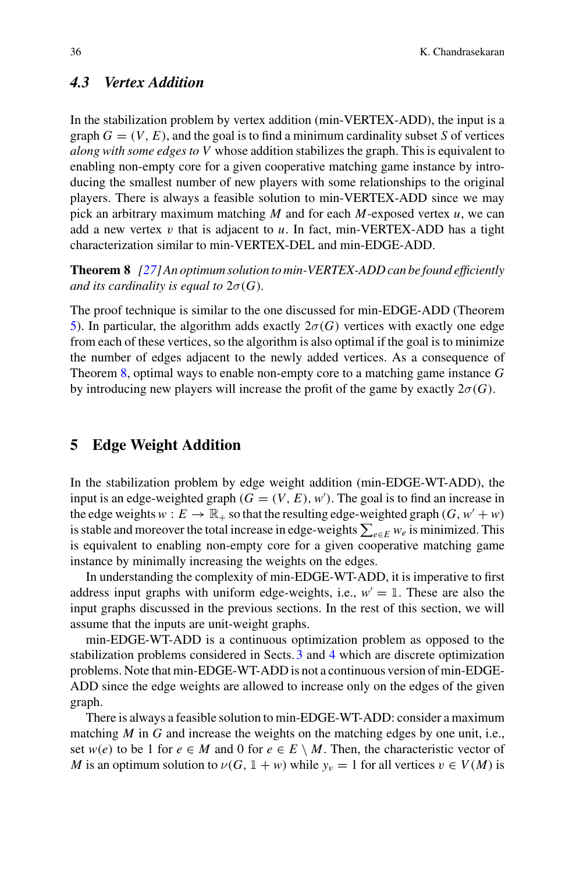#### *4.3 Vertex Addition*

In the stabilization problem by vertex addition (min-VERTEX-ADD), the input is a graph  $G = (V, E)$ , and the goal is to find a minimum cardinality subset S of vertices *along with some edges to V* whose addition stabilizes the graph. This is equivalent to enabling non-empty core for a given cooperative matching game instance by introducing the smallest number of new players with some relationships to the original players. There is always a feasible solution to min-VERTEX-ADD since we may pick an arbitrary maximum matching *M* and for each *M*-exposed vertex *u*, we can add a new vertex  $v$  that is adjacent to  $u$ . In fact, min-VERTEX-ADD has a tight characterization similar to min-VERTEX-DEL and min-EDGE-ADD.

<span id="page-15-1"></span>**Theorem 8** *[\[27](#page-19-14)] An optimum solution to min-VERTEX-ADD can be found efficiently and its cardinality is equal to*  $2\sigma(G)$ *.* 

The proof technique is similar to the one discussed for min-EDGE-ADD (Theorem [5\)](#page-10-1). In particular, the algorithm adds exactly  $2\sigma(G)$  vertices with exactly one edge from each of these vertices, so the algorithm is also optimal if the goal is to minimize the number of edges adjacent to the newly added vertices. As a consequence of Theorem [8,](#page-15-1) optimal ways to enable non-empty core to a matching game instance *G* by introducing new players will increase the profit of the game by exactly  $2\sigma(G)$ .

## <span id="page-15-0"></span>**5 Edge Weight Addition**

In the stabilization problem by edge weight addition (min-EDGE-WT-ADD), the input is an edge-weighted graph  $(G = (V, E), w')$ . The goal is to find an increase in the edge weights  $w : E \to \mathbb{R}_+$  so that the resulting edge-weighted graph  $(G, w' + w)$ is stable and moreover the total increase in edge-weights  $\sum_{e \in E} w_e$  is minimized. This is equivalent to enabling non-empty core for a given cooperative matching game instance by minimally increasing the weights on the edges.

In understanding the complexity of min-EDGE-WT-ADD, it is imperative to first address input graphs with uniform edge-weights, i.e.,  $w' = \mathbb{1}$ . These are also the input graphs discussed in the previous sections. In the rest of this section, we will assume that the inputs are unit-weight graphs.

min-EDGE-WT-ADD is a continuous optimization problem as opposed to the stabilization problems considered in Sects. [3](#page-6-0) and [4](#page-11-0) which are discrete optimization problems. Note that min-EDGE-WT-ADD is not a continuous version of min-EDGE-ADD since the edge weights are allowed to increase only on the edges of the given graph.

There is always a feasible solution to min-EDGE-WT-ADD: consider a maximum matching *M* in *G* and increase the weights on the matching edges by one unit, i.e., set  $w(e)$  to be 1 for  $e \in M$  and 0 for  $e \in E \setminus M$ . Then, the characteristic vector of *M* is an optimum solution to  $\nu(G, 1 + w)$  while  $y_v = 1$  for all vertices  $v \in V(M)$  is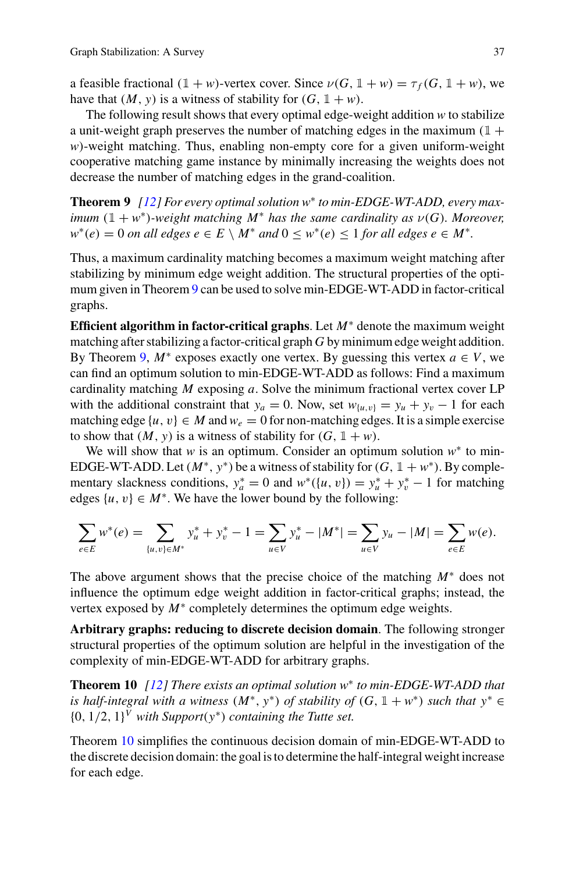a feasible fractional  $(1 + w)$ -vertex cover. Since  $\nu(G, 1 + w) = \tau_f(G, 1 + w)$ , we have that  $(M, v)$  is a witness of stability for  $(G, 1 + w)$ .

The following result shows that every optimal edge-weight addition *w* to stabilize a unit-weight graph preserves the number of matching edges in the maximum  $(1 +$ *w*)-weight matching. Thus, enabling non-empty core for a given uniform-weight cooperative matching game instance by minimally increasing the weights does not decrease the number of matching edges in the grand-coalition.

<span id="page-16-0"></span>**Theorem 9** *[\[12](#page-19-13)] For every optimal solution w*<sup>∗</sup> *to min-EDGE-WT-ADD, every maximum*  $(1 + w^*)$ *-weight matching*  $M^*$  *has the same cardinality as*  $\nu(G)$ *. Moreover, w*<sup>∗</sup>(*e*) = 0 *on all edges e* ∈ *E* \ *M*<sup>\*</sup> *and*  $0 \le w$ <sup>\*</sup>(*e*) ≤ 1 *for all edges e* ∈ *M*<sup>\*</sup>.

Thus, a maximum cardinality matching becomes a maximum weight matching after stabilizing by minimum edge weight addition. The structural properties of the optimum given in Theorem [9](#page-16-0) can be used to solve min-EDGE-WT-ADD in factor-critical graphs.

**Efficient algorithm in factor-critical graphs**. Let *M*<sup>∗</sup> denote the maximum weight matching after stabilizing a factor-critical graph *G* by minimum edge weight addition. By Theorem [9,](#page-16-0)  $M^*$  exposes exactly one vertex. By guessing this vertex  $a \in V$ , we can find an optimum solution to min-EDGE-WT-ADD as follows: Find a maximum cardinality matching *M* exposing *a*. Solve the minimum fractional vertex cover LP with the additional constraint that  $y_a = 0$ . Now, set  $w_{\{u,v\}} = y_u + y_v - 1$  for each matching edge  $\{u, v\} \in M$  and  $w_e = 0$  for non-matching edges. It is a simple exercise to show that  $(M, v)$  is a witness of stability for  $(G, 1 + w)$ .

We will show that *w* is an optimum. Consider an optimum solution  $w^*$  to min-EDGE-WT-ADD. Let  $(M^*, y^*)$  be a witness of stability for  $(G, 1 + w^*)$ . By complementary slackness conditions,  $y_a^* = 0$  and  $w^*(\{u, v\}) = y_u^* + y_v^* - 1$  for matching edges  $\{u, v\} \in M^*$ . We have the lower bound by the following:

$$
\sum_{e \in E} w^*(e) = \sum_{\{u,v\} \in M^*} y^*_{u} + y^*_{v} - 1 = \sum_{u \in V} y^*_{u} - |M^*| = \sum_{u \in V} y_u - |M| = \sum_{e \in E} w(e).
$$

The above argument shows that the precise choice of the matching *M*<sup>∗</sup> does not influence the optimum edge weight addition in factor-critical graphs; instead, the vertex exposed by *M*<sup>∗</sup> completely determines the optimum edge weights.

<span id="page-16-1"></span>**Arbitrary graphs: reducing to discrete decision domain**. The following stronger structural properties of the optimum solution are helpful in the investigation of the complexity of min-EDGE-WT-ADD for arbitrary graphs.

**Theorem 10** *[\[12](#page-19-13)] There exists an optimal solution w*<sup>∗</sup> *to min-EDGE-WT-ADD that is half-integral with a witness*  $(M^*, y^*)$  *of stability of*  $(G, 1 + w^*)$  *such that*  $y^* \in$  ${0, 1/2, 1}^V$  *with Support*( $y^*$ ) *containing the Tutte set.* 

Theorem [10](#page-16-1) simplifies the continuous decision domain of min-EDGE-WT-ADD to the discrete decision domain: the goal is to determine the half-integral weight increase for each edge.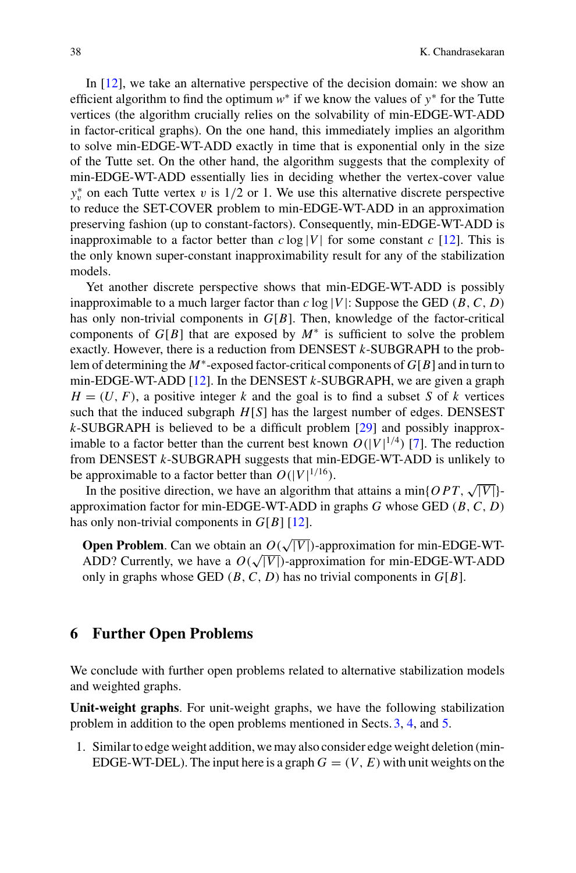In  $[12]$  $[12]$ , we take an alternative perspective of the decision domain: we show an efficient algorithm to find the optimum *w*<sup>∗</sup> if we know the values of *y*<sup>∗</sup> for the Tutte vertices (the algorithm crucially relies on the solvability of min-EDGE-WT-ADD in factor-critical graphs). On the one hand, this immediately implies an algorithm to solve min-EDGE-WT-ADD exactly in time that is exponential only in the size of the Tutte set. On the other hand, the algorithm suggests that the complexity of min-EDGE-WT-ADD essentially lies in deciding whether the vertex-cover value  $y_v^*$  on each Tutte vertex v is  $1/2$  or 1. We use this alternative discrete perspective to reduce the SET-COVER problem to min-EDGE-WT-ADD in an approximation preserving fashion (up to constant-factors). Consequently, min-EDGE-WT-ADD is inapproximable to a factor better than  $c \log |V|$  for some constant  $c$  [\[12](#page-19-13)]. This is the only known super-constant inapproximability result for any of the stabilization models.

Yet another discrete perspective shows that min-EDGE-WT-ADD is possibly inapproximable to a much larger factor than  $c \log |V|$ : Suppose the GED (*B*, *C*, *D*) has only non-trivial components in  $G[B]$ . Then, knowledge of the factor-critical components of  $G[B]$  that are exposed by  $M^*$  is sufficient to solve the problem exactly. However, there is a reduction from DENSEST *k*-SUBGRAPH to the problem of determining the *M*∗-exposed factor-critical components of *G*[*B*] and in turn to min-EDGE-WT-ADD [\[12](#page-19-13)]. In the DENSEST *k*-SUBGRAPH, we are given a graph  $H = (U, F)$ , a positive integer *k* and the goal is to find a subset *S* of *k* vertices such that the induced subgraph *H*[*S*] has the largest number of edges. DENSEST *k*-SUBGRAPH is believed to be a difficult problem [\[29](#page-19-27)] and possibly inapproximable to a factor better than the current best known  $O(|V|^{1/4})$  [\[7](#page-18-6)]. The reduction from DENSEST *k*-SUBGRAPH suggests that min-EDGE-WT-ADD is unlikely to be approximable to a factor better than  $O(|V|^{1/16})$ .

In the positive direction, we have an algorithm that attains a min{ $OPT$ ,  $\sqrt{|V|}$ }approximation factor for min-EDGE-WT-ADD in graphs *G* whose GED (*B*,*C*, *D*) has only non-trivial components in  $G[B]$  [\[12\]](#page-19-13).

**Open Problem**. Can we obtain an  $O(\sqrt{|V|})$ -approximation for min-EDGE-WT-ADD? Currently, we have a  $O(\sqrt{|V|})$ -approximation for min-EDGE-WT-ADD only in graphs whose GED (*B*,*C*, *D*) has no trivial components in *G*[*B*].

#### <span id="page-17-0"></span>**6 Further Open Problems**

We conclude with further open problems related to alternative stabilization models and weighted graphs.

**Unit-weight graphs**. For unit-weight graphs, we have the following stabilization problem in addition to the open problems mentioned in Sects. [3,](#page-6-0) [4,](#page-11-0) and [5.](#page-15-0)

1. Similar to edge weight addition, we may also consider edge weight deletion (min-EDGE-WT-DEL). The input here is a graph  $G = (V, E)$  with unit weights on the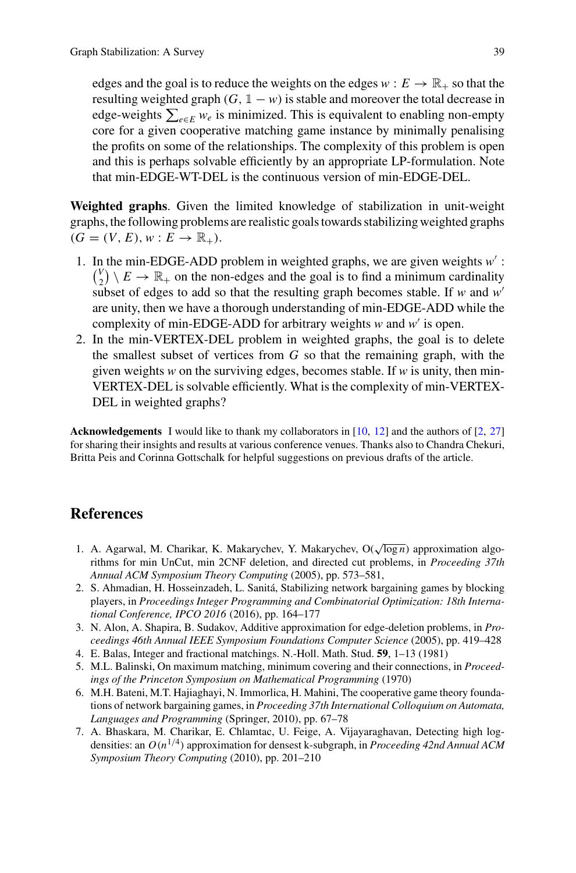edges and the goal is to reduce the weights on the edges  $w : E \to \mathbb{R}_+$  so that the resulting weighted graph  $(G, \mathbb{1} - w)$  is stable and moreover the total decrease in edge-weights  $\sum_{e \in E} w_e$  is minimized. This is equivalent to enabling non-empty core for a given cooperative matching game instance by minimally penalising the profits on some of the relationships. The complexity of this problem is open and this is perhaps solvable efficiently by an appropriate LP-formulation. Note that min-EDGE-WT-DEL is the continuous version of min-EDGE-DEL.

**Weighted graphs**. Given the limited knowledge of stabilization in unit-weight graphs, the following problems are realistic goals towards stabilizing weighted graphs  $(G = (V, E), w : E \to \mathbb{R}_+).$ 

- 1. In the min-EDGE-ADD problem in weighted graphs, we are given weights  $w'$ :  $\binom{V}{2} \setminus E \to \mathbb{R}_+$  on the non-edges and the goal is to find a minimum cardinality subset of edges to add so that the resulting graph becomes stable. If *w* and *w* are unity, then we have a thorough understanding of min-EDGE-ADD while the complexity of min-EDGE-ADD for arbitrary weights  $w$  and  $w'$  is open.
- 2. In the min-VERTEX-DEL problem in weighted graphs, the goal is to delete the smallest subset of vertices from *G* so that the remaining graph, with the given weights *w* on the surviving edges, becomes stable. If *w* is unity, then min-VERTEX-DEL is solvable efficiently. What is the complexity of min-VERTEX-DEL in weighted graphs?

**Acknowledgements** I would like to thank my collaborators in [\[10,](#page-19-12) [12\]](#page-19-13) and the authors of [\[2](#page-18-1), [27](#page-19-14)] for sharing their insights and results at various conference venues. Thanks also to Chandra Chekuri, Britta Peis and Corinna Gottschalk for helpful suggestions on previous drafts of the article.

# **References**

- <span id="page-18-3"></span>1. A. Agarwal, M. Charikar, K. Makarychev, Y. Makarychev,  $O(\sqrt{\log n})$  approximation algorithms for min UnCut, min 2CNF deletion, and directed cut problems, in *Proceeding 37th Annual ACM Symposium Theory Computing* (2005), pp. 573–581,
- <span id="page-18-1"></span>2. S. Ahmadian, H. Hosseinzadeh, L. Sanitá, Stabilizing network bargaining games by blocking players, in *Proceedings Integer Programming and Combinatorial Optimization: 18th International Conference, IPCO 2016* (2016), pp. 164–177
- <span id="page-18-4"></span>3. N. Alon, A. Shapira, B. Sudakov, Additive approximation for edge-deletion problems, in *Proceedings 46th Annual IEEE Symposium Foundations Computer Science* (2005), pp. 419–428
- <span id="page-18-5"></span>4. E. Balas, Integer and fractional matchings. N.-Holl. Math. Stud. **59**, 1–13 (1981)
- <span id="page-18-2"></span>5. M.L. Balinski, On maximum matching, minimum covering and their connections, in *Proceedings of the Princeton Symposium on Mathematical Programming* (1970)
- <span id="page-18-0"></span>6. M.H. Bateni, M.T. Hajiaghayi, N. Immorlica, H. Mahini, The cooperative game theory foundations of network bargaining games, in *Proceeding 37th International Colloquium on Automata, Languages and Programming* (Springer, 2010), pp. 67–78
- <span id="page-18-6"></span>7. A. Bhaskara, M. Charikar, E. Chlamtac, U. Feige, A. Vijayaraghavan, Detecting high logdensities: an *O*(*n*1/4) approximation for densest k-subgraph, in *Proceeding 42nd Annual ACM Symposium Theory Computing* (2010), pp. 201–210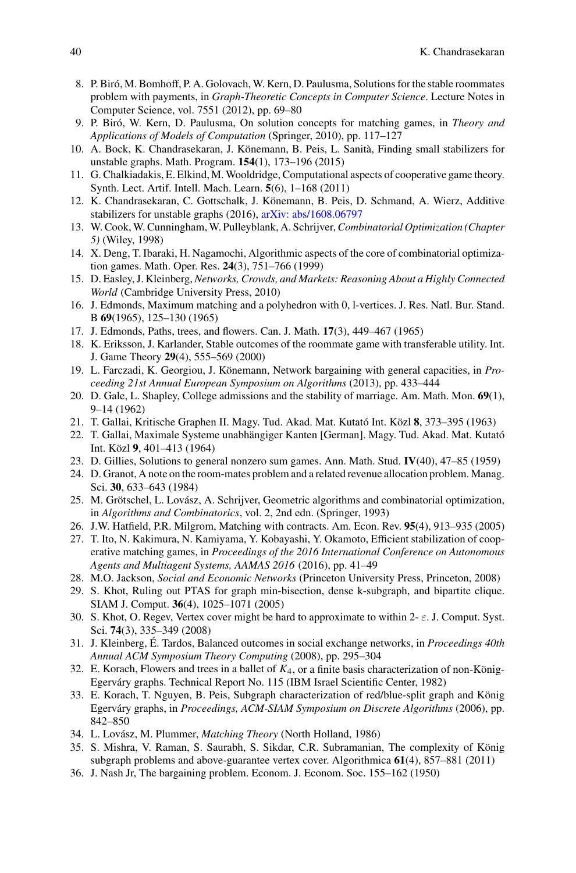- <span id="page-19-3"></span>8. P. Biró, M. Bomhoff, P. A. Golovach, W. Kern, D. Paulusma, Solutions for the stable roommates problem with payments, in *Graph-Theoretic Concepts in Computer Science*. Lecture Notes in Computer Science, vol. 7551 (2012), pp. 69–80
- <span id="page-19-4"></span>9. P. Biró, W. Kern, D. Paulusma, On solution concepts for matching games, in *Theory and Applications of Models of Computation* (Springer, 2010), pp. 117–127
- <span id="page-19-12"></span>10. A. Bock, K. Chandrasekaran, J. Könemann, B. Peis, L. Sanità, Finding small stabilizers for unstable graphs. Math. Program. **154**(1), 173–196 (2015)
- <span id="page-19-0"></span>11. G. Chalkiadakis, E. Elkind, M. Wooldridge, Computational aspects of cooperative game theory. Synth. Lect. Artif. Intell. Mach. Learn. **5**(6), 1–168 (2011)
- <span id="page-19-13"></span>12. K. Chandrasekaran, C. Gottschalk, J. Könemann, B. Peis, D. Schmand, A. Wierz, Additive stabilizers for unstable graphs (2016), [arXiv: abs/1608.06797](http://arxiv.org/abs/abs/1608.06797)
- <span id="page-19-15"></span>13. W. Cook, W. Cunningham, W. Pulleyblank, A. Schrijver,*Combinatorial Optimization (Chapter 5)* (Wiley, 1998)
- <span id="page-19-17"></span>14. X. Deng, T. Ibaraki, H. Nagamochi, Algorithmic aspects of the core of combinatorial optimization games. Math. Oper. Res. **24**(3), 751–766 (1999)
- <span id="page-19-1"></span>15. D. Easley, J. Kleinberg, *Networks, Crowds, and Markets: Reasoning About a Highly Connected World* (Cambridge University Press, 2010)
- <span id="page-19-18"></span>16. J. Edmonds, Maximum matching and a polyhedron with 0, l-vertices. J. Res. Natl. Bur. Stand. B **69**(1965), 125–130 (1965)
- <span id="page-19-19"></span>17. J. Edmonds, Paths, trees, and flowers. Can. J. Math. **17**(3), 449–467 (1965)
- <span id="page-19-5"></span>18. K. Eriksson, J. Karlander, Stable outcomes of the roommate game with transferable utility. Int. J. Game Theory **29**(4), 555–569 (2000)
- 19. L. Farczadi, K. Georgiou, J. Könemann, Network bargaining with general capacities, in *Proceeding 21st Annual European Symposium on Algorithms* (2013), pp. 433–444
- <span id="page-19-6"></span>20. D. Gale, L. Shapley, College admissions and the stability of marriage. Am. Math. Mon. **69**(1), 9–14 (1962)
- <span id="page-19-24"></span>21. T. Gallai, Kritische Graphen II. Magy. Tud. Akad. Mat. Kutató Int. Közl **8**, 373–395 (1963)
- <span id="page-19-25"></span>22. T. Gallai, Maximale Systeme unabhängiger Kanten [German]. Magy. Tud. Akad. Mat. Kutató Int. Közl **9**, 401–413 (1964)
- <span id="page-19-11"></span>23. D. Gillies, Solutions to general nonzero sum games. Ann. Math. Stud. **IV**(40), 47–85 (1959)
- <span id="page-19-7"></span>24. D. Granot, A note on the room-mates problem and a related revenue allocation problem. Manag. Sci. **30**, 633–643 (1984)
- <span id="page-19-20"></span>25. M. Grötschel, L. Lovász, A. Schrijver, Geometric algorithms and combinatorial optimization, in *Algorithms and Combinatorics*, vol. 2, 2nd edn. (Springer, 1993)
- <span id="page-19-8"></span>26. J.W. Hatfield, P.R. Milgrom, Matching with contracts. Am. Econ. Rev. **95**(4), 913–935 (2005)
- <span id="page-19-14"></span>27. T. Ito, N. Kakimura, N. Kamiyama, Y. Kobayashi, Y. Okamoto, Efficient stabilization of cooperative matching games, in *Proceedings of the 2016 International Conference on Autonomous Agents and Multiagent Systems, AAMAS 2016* (2016), pp. 41–49
- <span id="page-19-2"></span>28. M.O. Jackson, *Social and Economic Networks* (Princeton University Press, Princeton, 2008)
- <span id="page-19-27"></span>29. S. Khot, Ruling out PTAS for graph min-bisection, dense k-subgraph, and bipartite clique. SIAM J. Comput. **36**(4), 1025–1071 (2005)
- <span id="page-19-26"></span>30. S. Khot, O. Regev, Vertex cover might be hard to approximate to within 2- ε. J. Comput. Syst. Sci. **74**(3), 335–349 (2008)
- <span id="page-19-9"></span>31. J. Kleinberg, É. Tardos, Balanced outcomes in social exchange networks, in *Proceedings 40th Annual ACM Symposium Theory Computing* (2008), pp. 295–304
- <span id="page-19-21"></span>32. E. Korach, Flowers and trees in a ballet of *K*4, or a finite basis characterization of non-König-Egerváry graphs. Technical Report No. 115 (IBM Israel Scientific Center, 1982)
- <span id="page-19-22"></span>33. E. Korach, T. Nguyen, B. Peis, Subgraph characterization of red/blue-split graph and König Egerváry graphs, in *Proceedings, ACM-SIAM Symposium on Discrete Algorithms* (2006), pp. 842–850
- <span id="page-19-16"></span>34. L. Lovász, M. Plummer, *Matching Theory* (North Holland, 1986)
- <span id="page-19-23"></span>35. S. Mishra, V. Raman, S. Saurabh, S. Sikdar, C.R. Subramanian, The complexity of König subgraph problems and above-guarantee vertex cover. Algorithmica **61**(4), 857–881 (2011)
- <span id="page-19-10"></span>36. J. Nash Jr, The bargaining problem. Econom. J. Econom. Soc. 155–162 (1950)